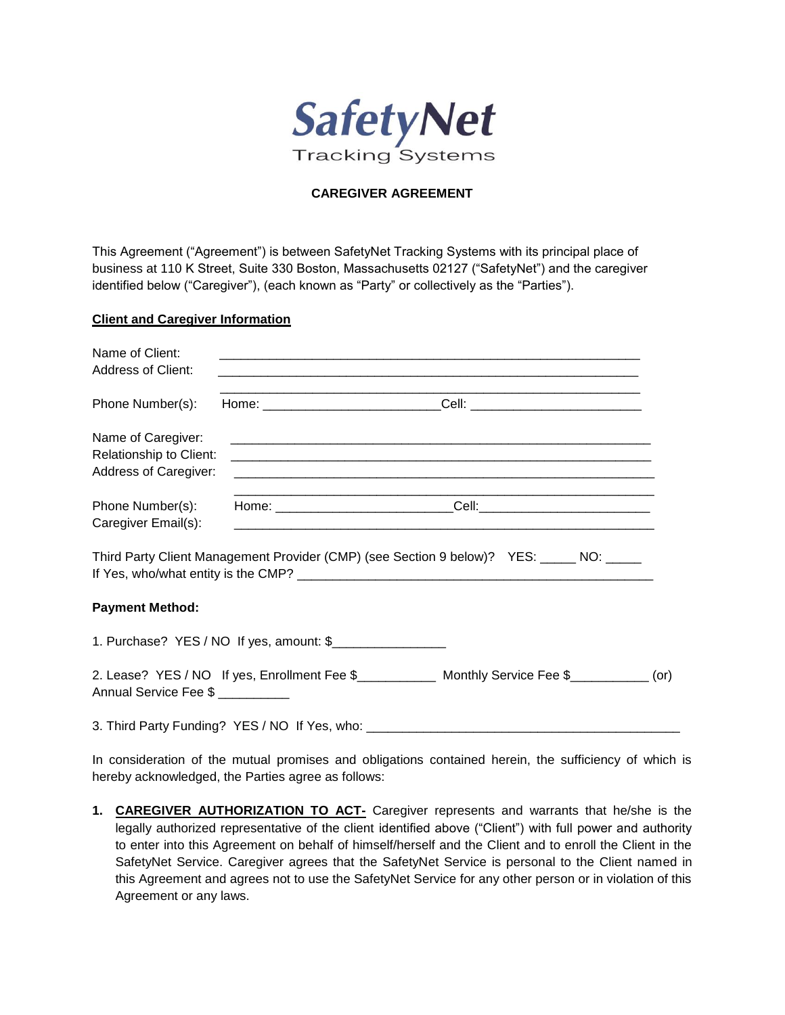

# **CAREGIVER AGREEMENT**

This Agreement ("Agreement") is between SafetyNet Tracking Systems with its principal place of business at 110 K Street, Suite 330 Boston, Massachusetts 02127 ("SafetyNet") and the caregiver identified below ("Caregiver"), (each known as "Party" or collectively as the "Parties").

### **Client and Caregiver Information**

| Name of Client:<br>Address of Client:                                         |                                                                                                                       |  |
|-------------------------------------------------------------------------------|-----------------------------------------------------------------------------------------------------------------------|--|
| Phone Number(s):                                                              |                                                                                                                       |  |
| Name of Caregiver:<br>Relationship to Client:<br><b>Address of Caregiver:</b> |                                                                                                                       |  |
| Phone Number(s):<br>Caregiver Email(s):                                       | <u> 1989 - Johann Stoff, deutscher Stoff, der Stoff, der Stoff, der Stoff, der Stoff, der Stoff, der Stoff, der S</u> |  |
|                                                                               | Third Party Client Management Provider (CMP) (see Section 9 below)? YES: _____ NO: _____                              |  |
| <b>Payment Method:</b>                                                        |                                                                                                                       |  |
|                                                                               | 1. Purchase? YES / NO If yes, amount: \$                                                                              |  |
| Annual Service Fee \$                                                         | 2. Lease? YES / NO If yes, Enrollment Fee \$______________ Monthly Service Fee \$___________ (or)                     |  |
|                                                                               | 3. Third Party Funding? YES / NO If Yes, who: __________________________________                                      |  |

In consideration of the mutual promises and obligations contained herein, the sufficiency of which is hereby acknowledged, the Parties agree as follows:

**1. CAREGIVER AUTHORIZATION TO ACT-** Caregiver represents and warrants that he/she is the legally authorized representative of the client identified above ("Client") with full power and authority to enter into this Agreement on behalf of himself/herself and the Client and to enroll the Client in the SafetyNet Service. Caregiver agrees that the SafetyNet Service is personal to the Client named in this Agreement and agrees not to use the SafetyNet Service for any other person or in violation of this Agreement or any laws.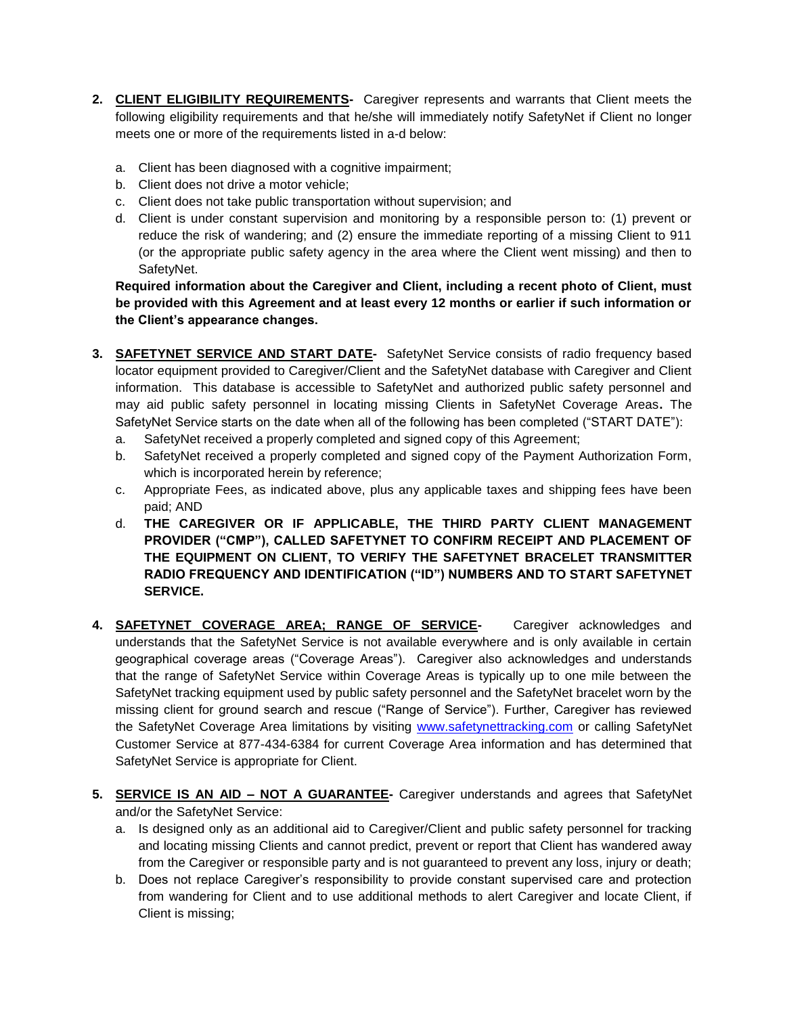- **2. CLIENT ELIGIBILITY REQUIREMENTS-** Caregiver represents and warrants that Client meets the following eligibility requirements and that he/she will immediately notify SafetyNet if Client no longer meets one or more of the requirements listed in a-d below:
	- a. Client has been diagnosed with a cognitive impairment;
	- b. Client does not drive a motor vehicle;
	- c. Client does not take public transportation without supervision; and
	- d. Client is under constant supervision and monitoring by a responsible person to: (1) prevent or reduce the risk of wandering; and (2) ensure the immediate reporting of a missing Client to 911 (or the appropriate public safety agency in the area where the Client went missing) and then to SafetyNet.

**Required information about the Caregiver and Client, including a recent photo of Client, must be provided with this Agreement and at least every 12 months or earlier if such information or the Client's appearance changes.** 

- **3. SAFETYNET SERVICE AND START DATE-** SafetyNet Service consists of radio frequency based locator equipment provided to Caregiver/Client and the SafetyNet database with Caregiver and Client information. This database is accessible to SafetyNet and authorized public safety personnel and may aid public safety personnel in locating missing Clients in SafetyNet Coverage Areas**.** The SafetyNet Service starts on the date when all of the following has been completed ("START DATE"):
	- a. SafetyNet received a properly completed and signed copy of this Agreement;
	- b. SafetyNet received a properly completed and signed copy of the Payment Authorization Form, which is incorporated herein by reference;
	- c. Appropriate Fees, as indicated above, plus any applicable taxes and shipping fees have been paid; AND
	- d. **THE CAREGIVER OR IF APPLICABLE, THE THIRD PARTY CLIENT MANAGEMENT PROVIDER ("CMP"), CALLED SAFETYNET TO CONFIRM RECEIPT AND PLACEMENT OF THE EQUIPMENT ON CLIENT, TO VERIFY THE SAFETYNET BRACELET TRANSMITTER RADIO FREQUENCY AND IDENTIFICATION ("ID") NUMBERS AND TO START SAFETYNET SERVICE.**
- **4. SAFETYNET COVERAGE AREA; RANGE OF SERVICE-** Caregiver acknowledges and understands that the SafetyNet Service is not available everywhere and is only available in certain geographical coverage areas ("Coverage Areas"). Caregiver also acknowledges and understands that the range of SafetyNet Service within Coverage Areas is typically up to one mile between the SafetyNet tracking equipment used by public safety personnel and the SafetyNet bracelet worn by the missing client for ground search and rescue ("Range of Service"). Further, Caregiver has reviewed the SafetyNet Coverage Area limitations by visiting [www.safetynettracking.com](http://www.safetynettracking.com/) or calling SafetyNet Customer Service at 877-434-6384 for current Coverage Area information and has determined that SafetyNet Service is appropriate for Client.
- **5. SERVICE IS AN AID – NOT A GUARANTEE-** Caregiver understands and agrees that SafetyNet and/or the SafetyNet Service:
	- a. Is designed only as an additional aid to Caregiver/Client and public safety personnel for tracking and locating missing Clients and cannot predict, prevent or report that Client has wandered away from the Caregiver or responsible party and is not guaranteed to prevent any loss, injury or death;
	- b. Does not replace Caregiver's responsibility to provide constant supervised care and protection from wandering for Client and to use additional methods to alert Caregiver and locate Client, if Client is missing;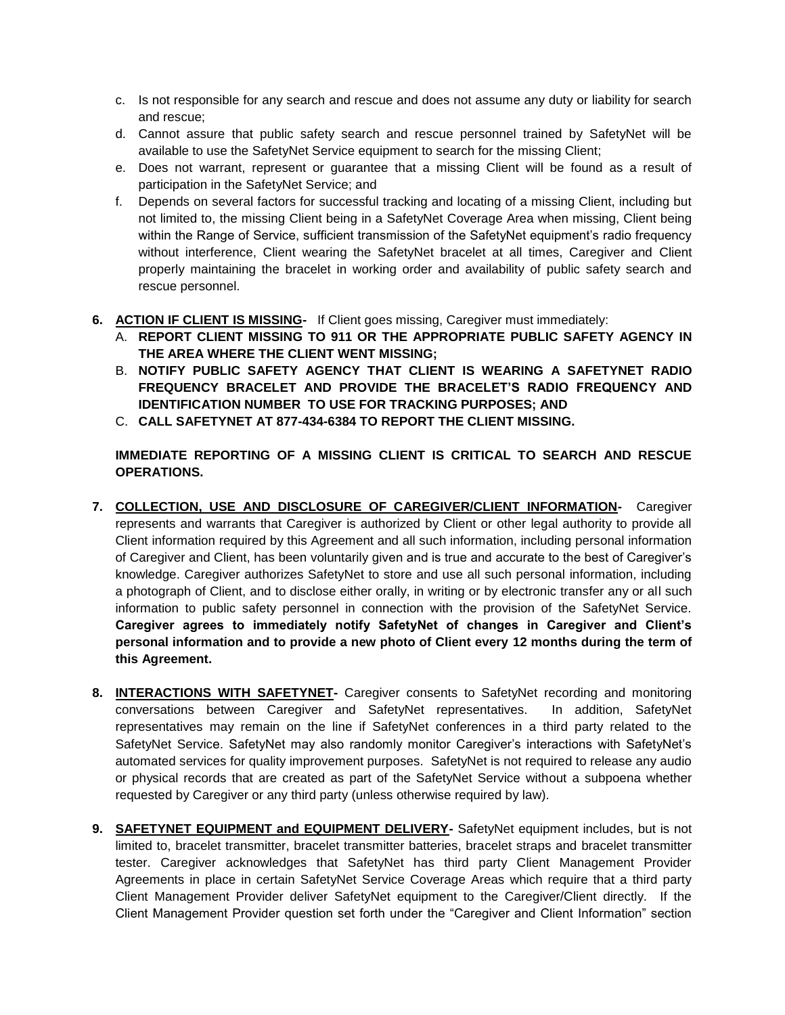- c. Is not responsible for any search and rescue and does not assume any duty or liability for search and rescue;
- d. Cannot assure that public safety search and rescue personnel trained by SafetyNet will be available to use the SafetyNet Service equipment to search for the missing Client;
- e. Does not warrant, represent or guarantee that a missing Client will be found as a result of participation in the SafetyNet Service; and
- f. Depends on several factors for successful tracking and locating of a missing Client, including but not limited to, the missing Client being in a SafetyNet Coverage Area when missing, Client being within the Range of Service, sufficient transmission of the SafetyNet equipment's radio frequency without interference, Client wearing the SafetyNet bracelet at all times, Caregiver and Client properly maintaining the bracelet in working order and availability of public safety search and rescue personnel.
- **6. ACTION IF CLIENT IS MISSING-** If Client goes missing, Caregiver must immediately:
	- A. **REPORT CLIENT MISSING TO 911 OR THE APPROPRIATE PUBLIC SAFETY AGENCY IN THE AREA WHERE THE CLIENT WENT MISSING;**
	- B. **NOTIFY PUBLIC SAFETY AGENCY THAT CLIENT IS WEARING A SAFETYNET RADIO FREQUENCY BRACELET AND PROVIDE THE BRACELET'S RADIO FREQUENCY AND IDENTIFICATION NUMBER TO USE FOR TRACKING PURPOSES; AND**
	- C. **CALL SAFETYNET AT 877-434-6384 TO REPORT THE CLIENT MISSING.**

**IMMEDIATE REPORTING OF A MISSING CLIENT IS CRITICAL TO SEARCH AND RESCUE OPERATIONS.** 

- **7. COLLECTION, USE AND DISCLOSURE OF CAREGIVER/CLIENT INFORMATION-** Caregiver represents and warrants that Caregiver is authorized by Client or other legal authority to provide all Client information required by this Agreement and all such information, including personal information of Caregiver and Client, has been voluntarily given and is true and accurate to the best of Caregiver's knowledge. Caregiver authorizes SafetyNet to store and use all such personal information, including a photograph of Client, and to disclose either orally, in writing or by electronic transfer any or all such information to public safety personnel in connection with the provision of the SafetyNet Service. **Caregiver agrees to immediately notify SafetyNet of changes in Caregiver and Client's personal information and to provide a new photo of Client every 12 months during the term of this Agreement.**
- **8. INTERACTIONS WITH SAFETYNET-** Caregiver consents to SafetyNet recording and monitoring conversations between Caregiver and SafetyNet representatives. In addition, SafetyNet representatives may remain on the line if SafetyNet conferences in a third party related to the SafetyNet Service. SafetyNet may also randomly monitor Caregiver's interactions with SafetyNet's automated services for quality improvement purposes. SafetyNet is not required to release any audio or physical records that are created as part of the SafetyNet Service without a subpoena whether requested by Caregiver or any third party (unless otherwise required by law).
- **9. SAFETYNET EQUIPMENT and EQUIPMENT DELIVERY-** SafetyNet equipment includes, but is not limited to, bracelet transmitter, bracelet transmitter batteries, bracelet straps and bracelet transmitter tester. Caregiver acknowledges that SafetyNet has third party Client Management Provider Agreements in place in certain SafetyNet Service Coverage Areas which require that a third party Client Management Provider deliver SafetyNet equipment to the Caregiver/Client directly. If the Client Management Provider question set forth under the "Caregiver and Client Information" section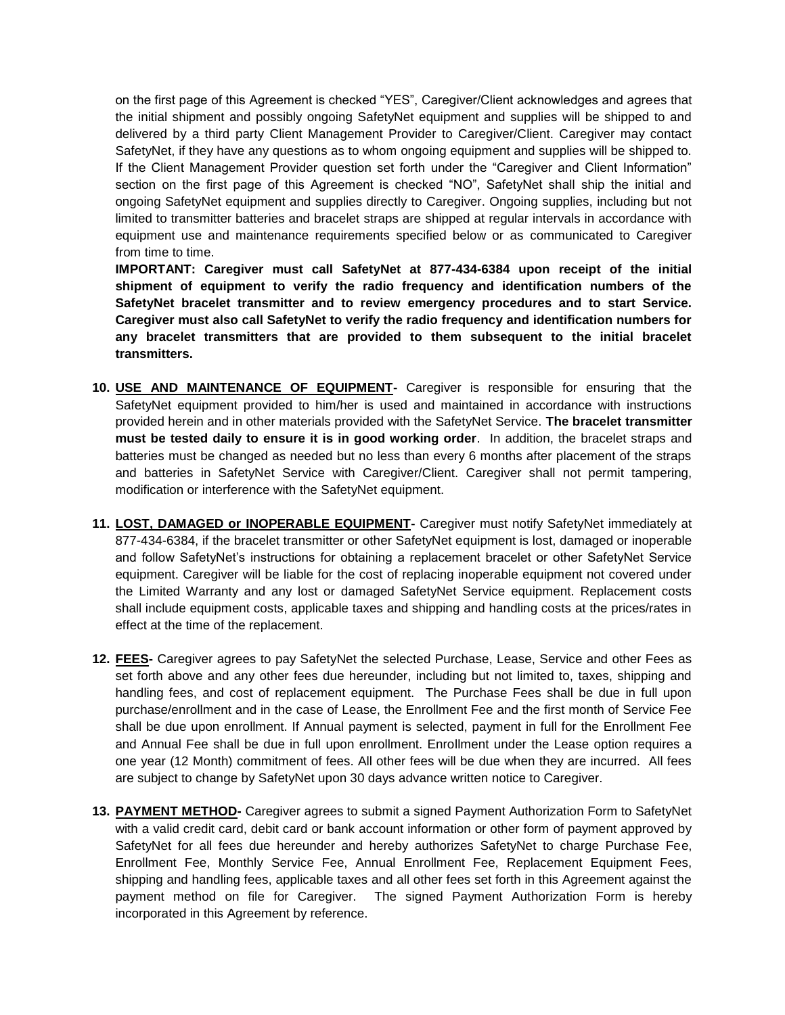on the first page of this Agreement is checked "YES", Caregiver/Client acknowledges and agrees that the initial shipment and possibly ongoing SafetyNet equipment and supplies will be shipped to and delivered by a third party Client Management Provider to Caregiver/Client. Caregiver may contact SafetyNet, if they have any questions as to whom ongoing equipment and supplies will be shipped to. If the Client Management Provider question set forth under the "Caregiver and Client Information" section on the first page of this Agreement is checked "NO", SafetyNet shall ship the initial and ongoing SafetyNet equipment and supplies directly to Caregiver. Ongoing supplies, including but not limited to transmitter batteries and bracelet straps are shipped at regular intervals in accordance with equipment use and maintenance requirements specified below or as communicated to Caregiver from time to time.

**IMPORTANT: Caregiver must call SafetyNet at 877-434-6384 upon receipt of the initial shipment of equipment to verify the radio frequency and identification numbers of the SafetyNet bracelet transmitter and to review emergency procedures and to start Service. Caregiver must also call SafetyNet to verify the radio frequency and identification numbers for any bracelet transmitters that are provided to them subsequent to the initial bracelet transmitters.**

- **10. USE AND MAINTENANCE OF EQUIPMENT-** Caregiver is responsible for ensuring that the SafetyNet equipment provided to him/her is used and maintained in accordance with instructions provided herein and in other materials provided with the SafetyNet Service. **The bracelet transmitter must be tested daily to ensure it is in good working order**. In addition, the bracelet straps and batteries must be changed as needed but no less than every 6 months after placement of the straps and batteries in SafetyNet Service with Caregiver/Client. Caregiver shall not permit tampering, modification or interference with the SafetyNet equipment.
- **11. LOST, DAMAGED or INOPERABLE EQUIPMENT-** Caregiver must notify SafetyNet immediately at 877-434-6384, if the bracelet transmitter or other SafetyNet equipment is lost, damaged or inoperable and follow SafetyNet's instructions for obtaining a replacement bracelet or other SafetyNet Service equipment. Caregiver will be liable for the cost of replacing inoperable equipment not covered under the Limited Warranty and any lost or damaged SafetyNet Service equipment. Replacement costs shall include equipment costs, applicable taxes and shipping and handling costs at the prices/rates in effect at the time of the replacement.
- **12. FEES-** Caregiver agrees to pay SafetyNet the selected Purchase, Lease, Service and other Fees as set forth above and any other fees due hereunder, including but not limited to, taxes, shipping and handling fees, and cost of replacement equipment. The Purchase Fees shall be due in full upon purchase/enrollment and in the case of Lease, the Enrollment Fee and the first month of Service Fee shall be due upon enrollment. If Annual payment is selected, payment in full for the Enrollment Fee and Annual Fee shall be due in full upon enrollment. Enrollment under the Lease option requires a one year (12 Month) commitment of fees. All other fees will be due when they are incurred. All fees are subject to change by SafetyNet upon 30 days advance written notice to Caregiver.
- **13. PAYMENT METHOD-** Caregiver agrees to submit a signed Payment Authorization Form to SafetyNet with a valid credit card, debit card or bank account information or other form of payment approved by SafetyNet for all fees due hereunder and hereby authorizes SafetyNet to charge Purchase Fee, Enrollment Fee, Monthly Service Fee, Annual Enrollment Fee, Replacement Equipment Fees, shipping and handling fees, applicable taxes and all other fees set forth in this Agreement against the payment method on file for Caregiver. The signed Payment Authorization Form is hereby incorporated in this Agreement by reference.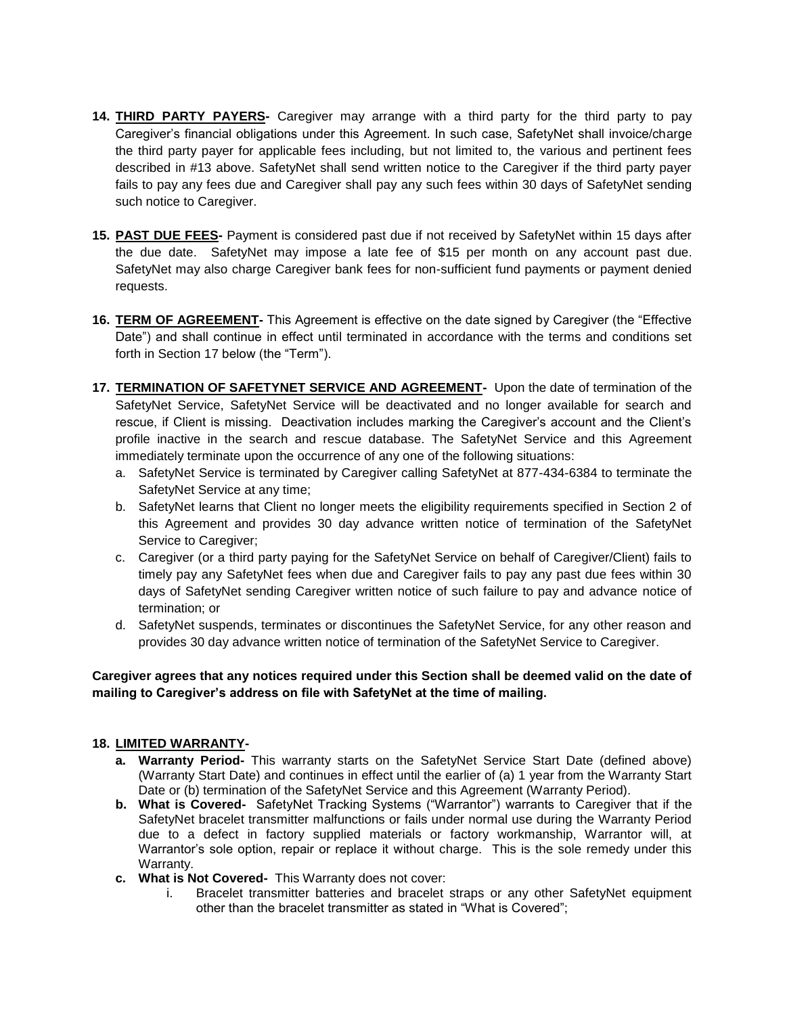- **14. THIRD PARTY PAYERS-** Caregiver may arrange with a third party for the third party to pay Caregiver's financial obligations under this Agreement. In such case, SafetyNet shall invoice/charge the third party payer for applicable fees including, but not limited to, the various and pertinent fees described in #13 above. SafetyNet shall send written notice to the Caregiver if the third party payer fails to pay any fees due and Caregiver shall pay any such fees within 30 days of SafetyNet sending such notice to Caregiver.
- **15. PAST DUE FEES-** Payment is considered past due if not received by SafetyNet within 15 days after the due date. SafetyNet may impose a late fee of \$15 per month on any account past due. SafetyNet may also charge Caregiver bank fees for non-sufficient fund payments or payment denied requests.
- **16. TERM OF AGREEMENT-** This Agreement is effective on the date signed by Caregiver (the "Effective Date") and shall continue in effect until terminated in accordance with the terms and conditions set forth in Section 17 below (the "Term").
- **17. TERMINATION OF SAFETYNET SERVICE AND AGREEMENT-** Upon the date of termination of the SafetyNet Service, SafetyNet Service will be deactivated and no longer available for search and rescue, if Client is missing. Deactivation includes marking the Caregiver's account and the Client's profile inactive in the search and rescue database. The SafetyNet Service and this Agreement immediately terminate upon the occurrence of any one of the following situations:
	- a. SafetyNet Service is terminated by Caregiver calling SafetyNet at 877-434-6384 to terminate the SafetyNet Service at any time;
	- b. SafetyNet learns that Client no longer meets the eligibility requirements specified in Section 2 of this Agreement and provides 30 day advance written notice of termination of the SafetyNet Service to Caregiver;
	- c. Caregiver (or a third party paying for the SafetyNet Service on behalf of Caregiver/Client) fails to timely pay any SafetyNet fees when due and Caregiver fails to pay any past due fees within 30 days of SafetyNet sending Caregiver written notice of such failure to pay and advance notice of termination; or
	- d. SafetyNet suspends, terminates or discontinues the SafetyNet Service, for any other reason and provides 30 day advance written notice of termination of the SafetyNet Service to Caregiver.

## **Caregiver agrees that any notices required under this Section shall be deemed valid on the date of mailing to Caregiver's address on file with SafetyNet at the time of mailing.**

## **18. LIMITED WARRANTY-**

- **a. Warranty Period-** This warranty starts on the SafetyNet Service Start Date (defined above) (Warranty Start Date) and continues in effect until the earlier of (a) 1 year from the Warranty Start Date or (b) termination of the SafetyNet Service and this Agreement (Warranty Period).
- **b. What is Covered-** SafetyNet Tracking Systems ("Warrantor") warrants to Caregiver that if the SafetyNet bracelet transmitter malfunctions or fails under normal use during the Warranty Period due to a defect in factory supplied materials or factory workmanship, Warrantor will, at Warrantor's sole option, repair or replace it without charge. This is the sole remedy under this Warranty.
- **c. What is Not Covered-** This Warranty does not cover:
	- i. Bracelet transmitter batteries and bracelet straps or any other SafetyNet equipment other than the bracelet transmitter as stated in "What is Covered";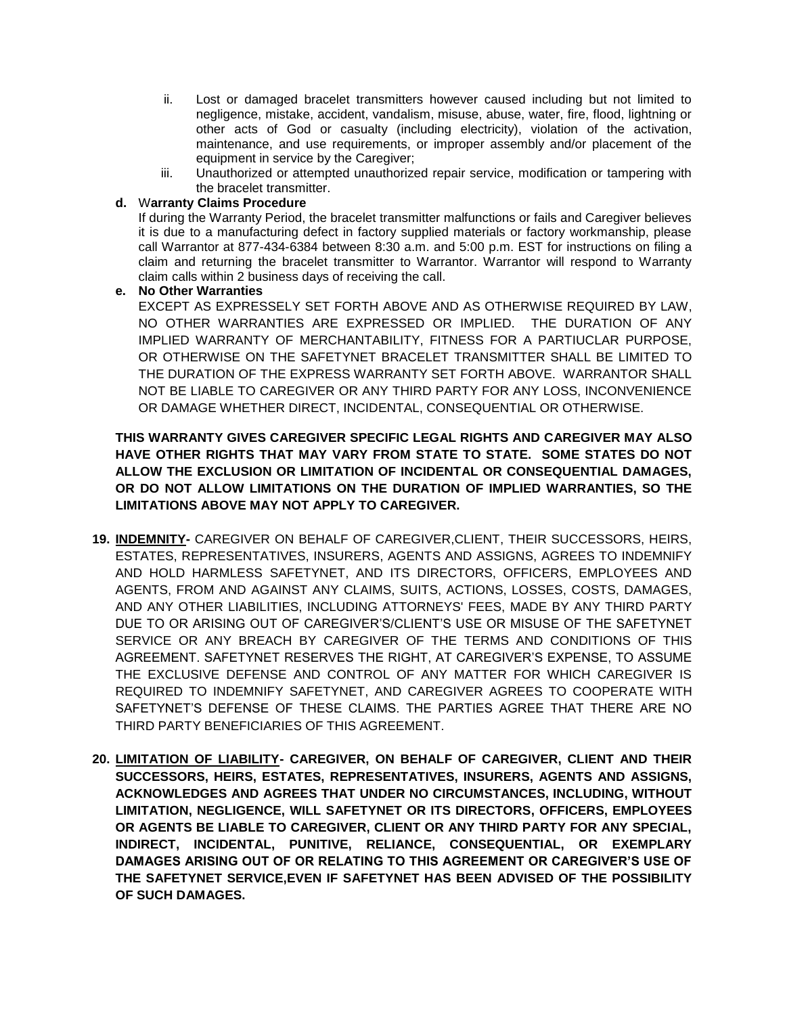- ii. Lost or damaged bracelet transmitters however caused including but not limited to negligence, mistake, accident, vandalism, misuse, abuse, water, fire, flood, lightning or other acts of God or casualty (including electricity), violation of the activation, maintenance, and use requirements, or improper assembly and/or placement of the equipment in service by the Caregiver;
- iii. Unauthorized or attempted unauthorized repair service, modification or tampering with the bracelet transmitter.

#### **d.** W**arranty Claims Procedure**

If during the Warranty Period, the bracelet transmitter malfunctions or fails and Caregiver believes it is due to a manufacturing defect in factory supplied materials or factory workmanship, please call Warrantor at 877-434-6384 between 8:30 a.m. and 5:00 p.m. EST for instructions on filing a claim and returning the bracelet transmitter to Warrantor. Warrantor will respond to Warranty claim calls within 2 business days of receiving the call.

### **e. No Other Warranties**

EXCEPT AS EXPRESSELY SET FORTH ABOVE AND AS OTHERWISE REQUIRED BY LAW, NO OTHER WARRANTIES ARE EXPRESSED OR IMPLIED. THE DURATION OF ANY IMPLIED WARRANTY OF MERCHANTABILITY, FITNESS FOR A PARTIUCLAR PURPOSE, OR OTHERWISE ON THE SAFETYNET BRACELET TRANSMITTER SHALL BE LIMITED TO THE DURATION OF THE EXPRESS WARRANTY SET FORTH ABOVE. WARRANTOR SHALL NOT BE LIABLE TO CAREGIVER OR ANY THIRD PARTY FOR ANY LOSS, INCONVENIENCE OR DAMAGE WHETHER DIRECT, INCIDENTAL, CONSEQUENTIAL OR OTHERWISE.

**THIS WARRANTY GIVES CAREGIVER SPECIFIC LEGAL RIGHTS AND CAREGIVER MAY ALSO HAVE OTHER RIGHTS THAT MAY VARY FROM STATE TO STATE. SOME STATES DO NOT ALLOW THE EXCLUSION OR LIMITATION OF INCIDENTAL OR CONSEQUENTIAL DAMAGES, OR DO NOT ALLOW LIMITATIONS ON THE DURATION OF IMPLIED WARRANTIES, SO THE LIMITATIONS ABOVE MAY NOT APPLY TO CAREGIVER.**

- **19. INDEMNITY-** CAREGIVER ON BEHALF OF CAREGIVER,CLIENT, THEIR SUCCESSORS, HEIRS, ESTATES, REPRESENTATIVES, INSURERS, AGENTS AND ASSIGNS, AGREES TO INDEMNIFY AND HOLD HARMLESS SAFETYNET, AND ITS DIRECTORS, OFFICERS, EMPLOYEES AND AGENTS, FROM AND AGAINST ANY CLAIMS, SUITS, ACTIONS, LOSSES, COSTS, DAMAGES, AND ANY OTHER LIABILITIES, INCLUDING ATTORNEYS' FEES, MADE BY ANY THIRD PARTY DUE TO OR ARISING OUT OF CAREGIVER'S/CLIENT'S USE OR MISUSE OF THE SAFETYNET SERVICE OR ANY BREACH BY CAREGIVER OF THE TERMS AND CONDITIONS OF THIS AGREEMENT. SAFETYNET RESERVES THE RIGHT, AT CAREGIVER'S EXPENSE, TO ASSUME THE EXCLUSIVE DEFENSE AND CONTROL OF ANY MATTER FOR WHICH CAREGIVER IS REQUIRED TO INDEMNIFY SAFETYNET, AND CAREGIVER AGREES TO COOPERATE WITH SAFETYNET'S DEFENSE OF THESE CLAIMS. THE PARTIES AGREE THAT THERE ARE NO THIRD PARTY BENEFICIARIES OF THIS AGREEMENT.
- **20. LIMITATION OF LIABILITY- CAREGIVER, ON BEHALF OF CAREGIVER, CLIENT AND THEIR SUCCESSORS, HEIRS, ESTATES, REPRESENTATIVES, INSURERS, AGENTS AND ASSIGNS, ACKNOWLEDGES AND AGREES THAT UNDER NO CIRCUMSTANCES, INCLUDING, WITHOUT LIMITATION, NEGLIGENCE, WILL SAFETYNET OR ITS DIRECTORS, OFFICERS, EMPLOYEES OR AGENTS BE LIABLE TO CAREGIVER, CLIENT OR ANY THIRD PARTY FOR ANY SPECIAL, INDIRECT, INCIDENTAL, PUNITIVE, RELIANCE, CONSEQUENTIAL, OR EXEMPLARY DAMAGES ARISING OUT OF OR RELATING TO THIS AGREEMENT OR CAREGIVER'S USE OF THE SAFETYNET SERVICE,EVEN IF SAFETYNET HAS BEEN ADVISED OF THE POSSIBILITY OF SUCH DAMAGES.**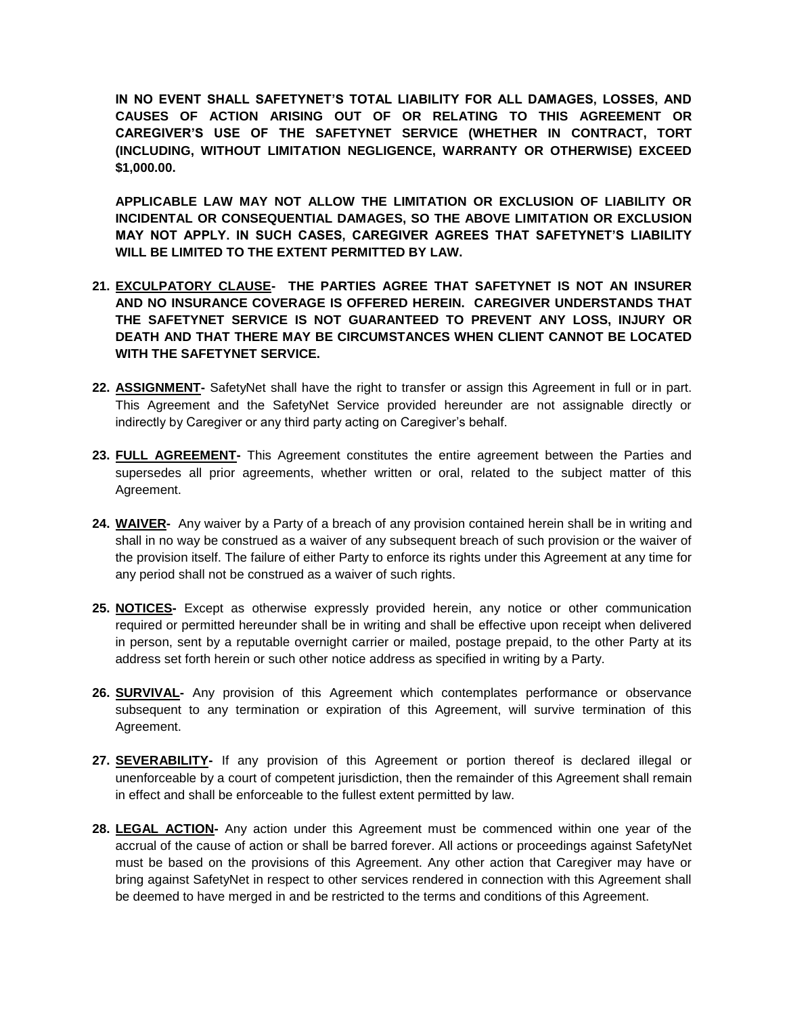**IN NO EVENT SHALL SAFETYNET'S TOTAL LIABILITY FOR ALL DAMAGES, LOSSES, AND CAUSES OF ACTION ARISING OUT OF OR RELATING TO THIS AGREEMENT OR CAREGIVER'S USE OF THE SAFETYNET SERVICE (WHETHER IN CONTRACT, TORT (INCLUDING, WITHOUT LIMITATION NEGLIGENCE, WARRANTY OR OTHERWISE) EXCEED \$1,000.00.** 

**APPLICABLE LAW MAY NOT ALLOW THE LIMITATION OR EXCLUSION OF LIABILITY OR INCIDENTAL OR CONSEQUENTIAL DAMAGES, SO THE ABOVE LIMITATION OR EXCLUSION MAY NOT APPLY. IN SUCH CASES, CAREGIVER AGREES THAT SAFETYNET'S LIABILITY WILL BE LIMITED TO THE EXTENT PERMITTED BY LAW.**

- **21. EXCULPATORY CLAUSE- THE PARTIES AGREE THAT SAFETYNET IS NOT AN INSURER AND NO INSURANCE COVERAGE IS OFFERED HEREIN. CAREGIVER UNDERSTANDS THAT THE SAFETYNET SERVICE IS NOT GUARANTEED TO PREVENT ANY LOSS, INJURY OR DEATH AND THAT THERE MAY BE CIRCUMSTANCES WHEN CLIENT CANNOT BE LOCATED WITH THE SAFETYNET SERVICE.**
- **22. ASSIGNMENT-** SafetyNet shall have the right to transfer or assign this Agreement in full or in part. This Agreement and the SafetyNet Service provided hereunder are not assignable directly or indirectly by Caregiver or any third party acting on Caregiver's behalf.
- **23. FULL AGREEMENT-** This Agreement constitutes the entire agreement between the Parties and supersedes all prior agreements, whether written or oral, related to the subject matter of this Agreement.
- **24. WAIVER-** Any waiver by a Party of a breach of any provision contained herein shall be in writing and shall in no way be construed as a waiver of any subsequent breach of such provision or the waiver of the provision itself. The failure of either Party to enforce its rights under this Agreement at any time for any period shall not be construed as a waiver of such rights.
- **25. NOTICES-** Except as otherwise expressly provided herein, any notice or other communication required or permitted hereunder shall be in writing and shall be effective upon receipt when delivered in person, sent by a reputable overnight carrier or mailed, postage prepaid, to the other Party at its address set forth herein or such other notice address as specified in writing by a Party.
- **26. SURVIVAL-** Any provision of this Agreement which contemplates performance or observance subsequent to any termination or expiration of this Agreement, will survive termination of this Agreement.
- **27. SEVERABILITY-** If any provision of this Agreement or portion thereof is declared illegal or unenforceable by a court of competent jurisdiction, then the remainder of this Agreement shall remain in effect and shall be enforceable to the fullest extent permitted by law.
- **28. LEGAL ACTION-** Any action under this Agreement must be commenced within one year of the accrual of the cause of action or shall be barred forever. All actions or proceedings against SafetyNet must be based on the provisions of this Agreement. Any other action that Caregiver may have or bring against SafetyNet in respect to other services rendered in connection with this Agreement shall be deemed to have merged in and be restricted to the terms and conditions of this Agreement.